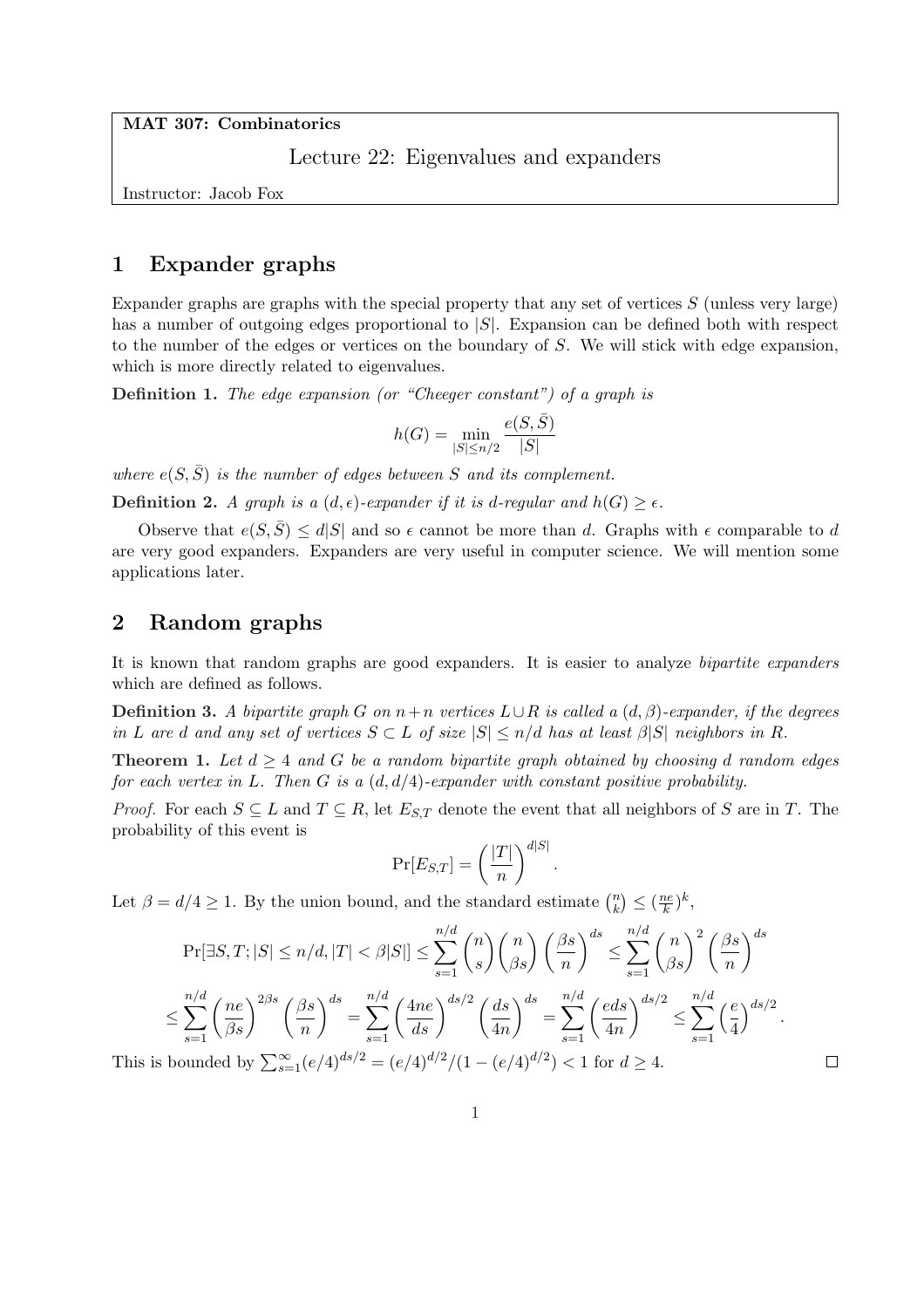MAT 307: Combinatorics

Lecture 22: Eigenvalues and expanders

Instructor: Jacob Fox

## 1 Expander graphs

Expander graphs are graphs with the special property that any set of vertices  $S$  (unless very large) has a number of outgoing edges proportional to  $|S|$ . Expansion can be defined both with respect to the number of the edges or vertices on the boundary of S. We will stick with edge expansion, which is more directly related to eigenvalues.

Definition 1. The edge expansion (or "Cheeger constant") of a graph is

$$
h(G) = \min_{|S| \le n/2} \frac{e(S,\bar{S})}{|S|}
$$

where  $e(S, \overline{S})$  is the number of edges between S and its complement.

**Definition 2.** A graph is a  $(d, \epsilon)$ -expander if it is d-regular and  $h(G) > \epsilon$ .

Observe that  $e(S,\overline{S}) \leq d|S|$  and so  $\epsilon$  cannot be more than d. Graphs with  $\epsilon$  comparable to d are very good expanders. Expanders are very useful in computer science. We will mention some applications later.

# 2 Random graphs

It is known that random graphs are good expanders. It is easier to analyze bipartite expanders which are defined as follows.

**Definition 3.** A bipartite graph G on  $n+n$  vertices  $L\cup R$  is called a  $(d, \beta)$ -expander, if the degrees in L are d and any set of vertices  $S \subset L$  of size  $|S| \leq n/d$  has at least  $\beta |S|$  neighbors in R.

**Theorem 1.** Let  $d > 4$  and G be a random bipartite graph obtained by choosing d random edges for each vertex in L. Then G is a  $(d, d/4)$ -expander with constant positive probability.

*Proof.* For each  $S \subseteq L$  and  $T \subseteq R$ , let  $E_{S,T}$  denote the event that all neighbors of S are in T. The probability of this event is

$$
\Pr[E_{S,T}] = \left(\frac{|T|}{n}\right)^{d|S|}
$$

.

Let  $\beta = d/4 \geq 1$ . By the union bound, and the standard estimate  $\binom{n}{k}$ k ¢  $\leq \left(\frac{ne}{k}\right)$  $\frac{ie}{k})^k$ 

$$
\Pr[\exists S, T; |S| \le n/d, |T| < \beta |S|] \le \sum_{s=1}^{n/d} \binom{n}{s} \binom{n}{\beta s} \left(\frac{\beta s}{n}\right)^{ds} \le \sum_{s=1}^{n/d} \binom{n}{\beta s}^2 \left(\frac{\beta s}{n}\right)^{ds}
$$
\n
$$
\le \sum_{s=1}^{n/d} \left(\frac{ne}{\beta s}\right)^{2\beta s} \left(\frac{\beta s}{n}\right)^{ds} = \sum_{s=1}^{n/d} \left(\frac{4ne}{ds}\right)^{ds/2} \left(\frac{ds}{4n}\right)^{ds} = \sum_{s=1}^{n/d} \left(\frac{eds}{4n}\right)^{ds/2} \le \sum_{s=1}^{n/d} \left(\frac{e}{4}\right)^{ds/2}.
$$
\nbounded by  $\sum_{s=1}^{\infty} (e/4)^{ds/2} = (e/4)^{d/2}/(1 - (e/4)^{d/2}) < 1$  for  $d \ge 4$ .

This is  $\sum_{s=1}^{\infty} (e/4)^{ds/2} = (e/4)^{d/2}/(1 - (e/4)^{d/2})$   $\Box$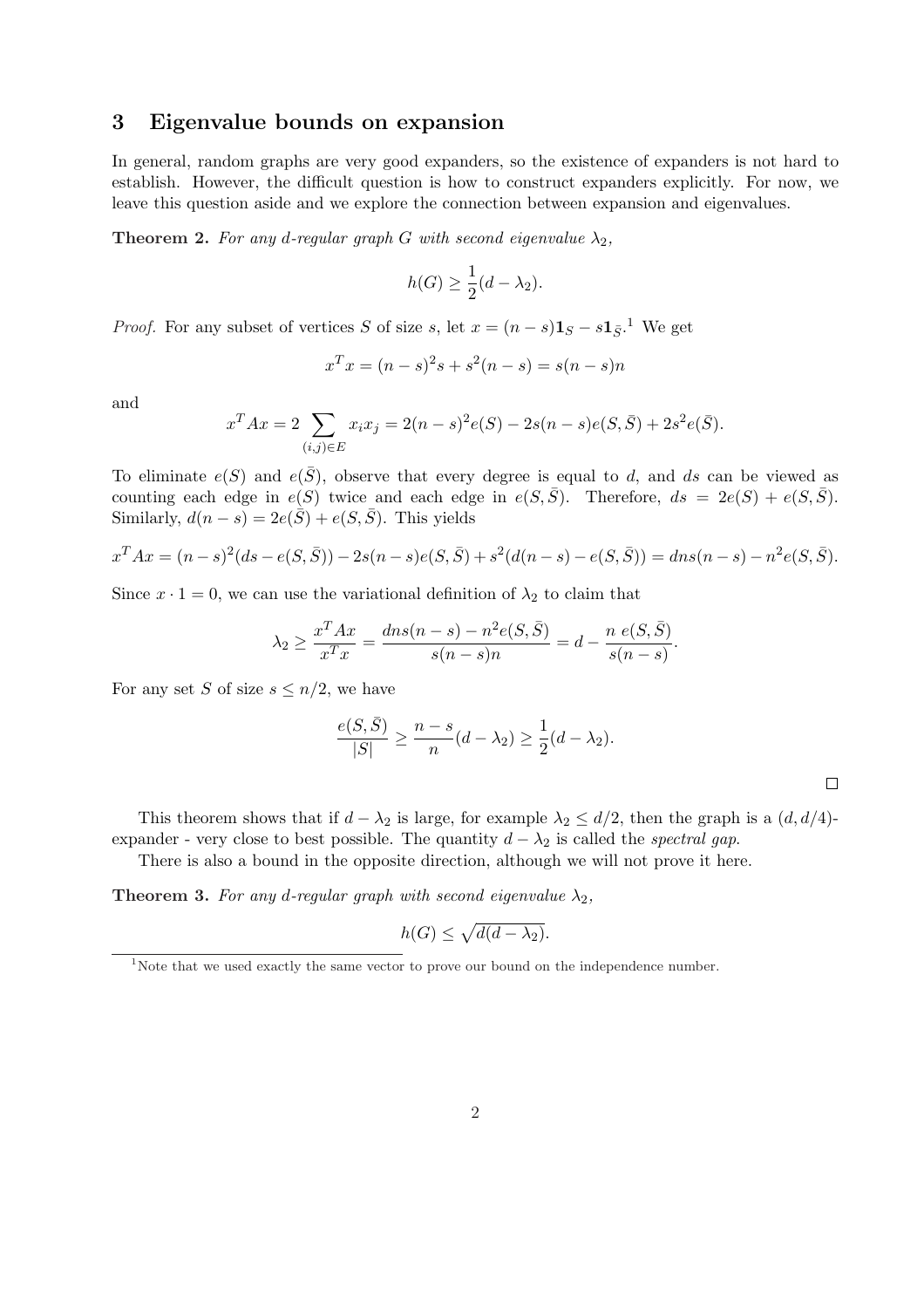#### 3 Eigenvalue bounds on expansion

In general, random graphs are very good expanders, so the existence of expanders is not hard to establish. However, the difficult question is how to construct expanders explicitly. For now, we leave this question aside and we explore the connection between expansion and eigenvalues.

**Theorem 2.** For any d-regular graph G with second eigenvalue  $\lambda_2$ ,

$$
h(G) \ge \frac{1}{2}(d - \lambda_2).
$$

*Proof.* For any subset of vertices S of size s, let  $x = (n - s)\mathbf{1}_S - s\mathbf{1}_{\bar{S}}$ <sup>1</sup>. We get

$$
x^T x = (n - s)^2 s + s^2 (n - s) = s(n - s)n
$$

and

$$
x^{T}Ax = 2 \sum_{(i,j)\in E} x_{i}x_{j} = 2(n-s)^{2}e(S) - 2s(n-s)e(S,\bar{S}) + 2s^{2}e(\bar{S}).
$$

To eliminate  $e(S)$  and  $e(\overline{S})$ , observe that every degree is equal to d, and ds can be viewed as counting each edge in  $e(S)$  twice and each edge in  $e(S,\overline{S})$ . Therefore,  $ds = 2e(S) + e(S,\overline{S})$ . Similarly,  $d(n-s) = 2e(\bar{S}) + e(S, \bar{S})$ . This yields

$$
x^T A x = (n - s)^2 (ds - e(S, \bar{S})) - 2s(n - s)e(S, \bar{S}) + s^2 (d(n - s) - e(S, \bar{S})) = dns(n - s) - n^2 e(S, \bar{S}).
$$

Since  $x \cdot 1 = 0$ , we can use the variational definition of  $\lambda_2$  to claim that

$$
\lambda_2 \ge \frac{x^T A x}{x^T x} = \frac{d n s (n - s) - n^2 e(S, \bar{S})}{s (n - s) n} = d - \frac{n e(S, \bar{S})}{s (n - s)}.
$$

For any set S of size  $s \leq n/2$ , we have

$$
\frac{e(S,\bar{S})}{|S|} \ge \frac{n-s}{n}(d-\lambda_2) \ge \frac{1}{2}(d-\lambda_2).
$$

 $\Box$ 

This theorem shows that if  $d - \lambda_2$  is large, for example  $\lambda_2 \leq d/2$ , then the graph is a  $(d, d/4)$ expander - very close to best possible. The quantity  $d - \lambda_2$  is called the *spectral gap*.

There is also a bound in the opposite direction, although we will not prove it here.

**Theorem 3.** For any d-regular graph with second eigenvalue  $\lambda_2$ ,

$$
h(G) \le \sqrt{d(d - \lambda_2)}.
$$

<sup>&</sup>lt;sup>1</sup>Note that we used exactly the same vector to prove our bound on the independence number.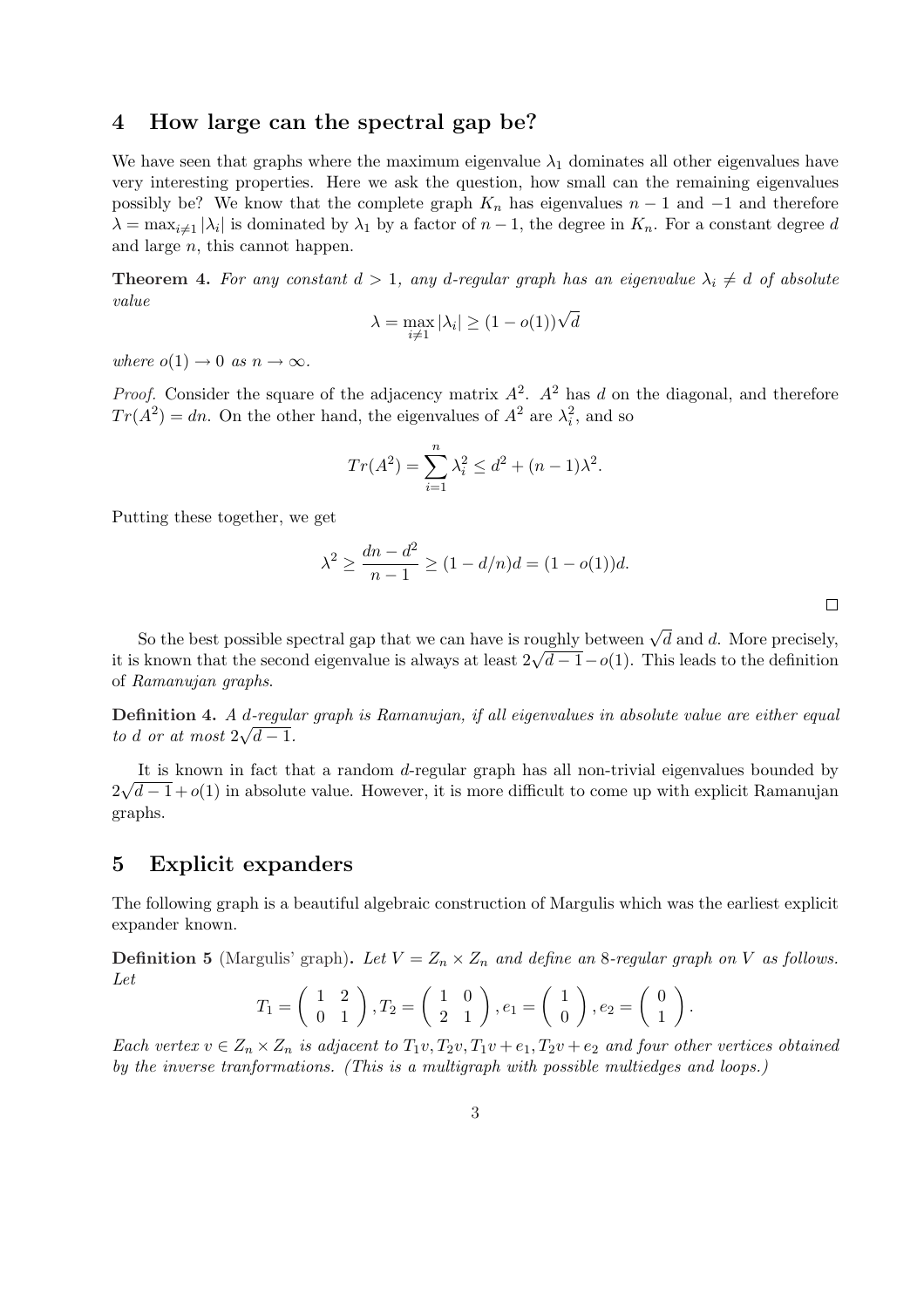### 4 How large can the spectral gap be?

We have seen that graphs where the maximum eigenvalue  $\lambda_1$  dominates all other eigenvalues have very interesting properties. Here we ask the question, how small can the remaining eigenvalues possibly be? We know that the complete graph  $K_n$  has eigenvalues  $n-1$  and  $-1$  and therefore  $\lambda = \max_{i \neq 1} |\lambda_i|$  is dominated by  $\lambda_1$  by a factor of  $n-1$ , the degree in  $K_n$ . For a constant degree d and large n, this cannot happen.

**Theorem 4.** For any constant  $d > 1$ , any d-regular graph has an eigenvalue  $\lambda_i \neq d$  of absolute value

$$
\lambda = \max_{i \neq 1} |\lambda_i| \ge (1 - o(1))\sqrt{d}
$$

where  $o(1) \rightarrow 0$  as  $n \rightarrow \infty$ .

*Proof.* Consider the square of the adjacency matrix  $A^2$ .  $A^2$  has d on the diagonal, and therefore  $Tr(A^2) = dn$ . On the other hand, the eigenvalues of  $A^2$  are  $\lambda_i^2$ , and so

$$
Tr(A^{2}) = \sum_{i=1}^{n} \lambda_{i}^{2} \leq d^{2} + (n-1)\lambda^{2}.
$$

Putting these together, we get

$$
\lambda^2 \ge \frac{dn - d^2}{n - 1} \ge (1 - d/n)d = (1 - o(1))d.
$$

 $\Box$ 

So the best possible spectral gap that we can have is roughly between  $\sqrt{d}$  and d. More precisely, So the best possible spectral gap that we can have is roughly between  $\sqrt{a}$  and a. More precisely, it is known that the second eigenvalue is always at least  $2\sqrt{d-1} - o(1)$ . This leads to the definition of Ramanujan graphs.

**Definition 4.** A d-regular graph is Ramanujan, if all eigenvalues in absolute value are either equal to d or at most  $2\sqrt{d-1}$ .

It is known in fact that a random d-regular graph has all non-trivial eigenvalues bounded by 2 √  $\overline{d-1} + o(1)$  in absolute value. However, it is more difficult to come up with explicit Ramanujan graphs.

#### 5 Explicit expanders

The following graph is a beautiful algebraic construction of Margulis which was the earliest explicit expander known.

**Definition 5** (Margulis' graph). Let  $V = Z_n \times Z_n$  and define an 8-regular graph on V as follows. Let  $\overline{a}$  $\overline{a}$  $\overline{a}$  $\mathbf{r}$  $\overline{a}$  $\mathbf{r}$ 

$$
T_1 = \begin{pmatrix} 1 & 2 \\ 0 & 1 \end{pmatrix}, T_2 = \begin{pmatrix} 1 & 0 \\ 2 & 1 \end{pmatrix}, e_1 = \begin{pmatrix} 1 \\ 0 \end{pmatrix}, e_2 = \begin{pmatrix} 0 \\ 1 \end{pmatrix}.
$$

Each vertex  $v \in Z_n \times Z_n$  is adjacent to  $T_1v, T_2v, T_1v + e_1, T_2v + e_2$  and four other vertices obtained by the inverse tranformations. (This is a multigraph with possible multiedges and loops.)